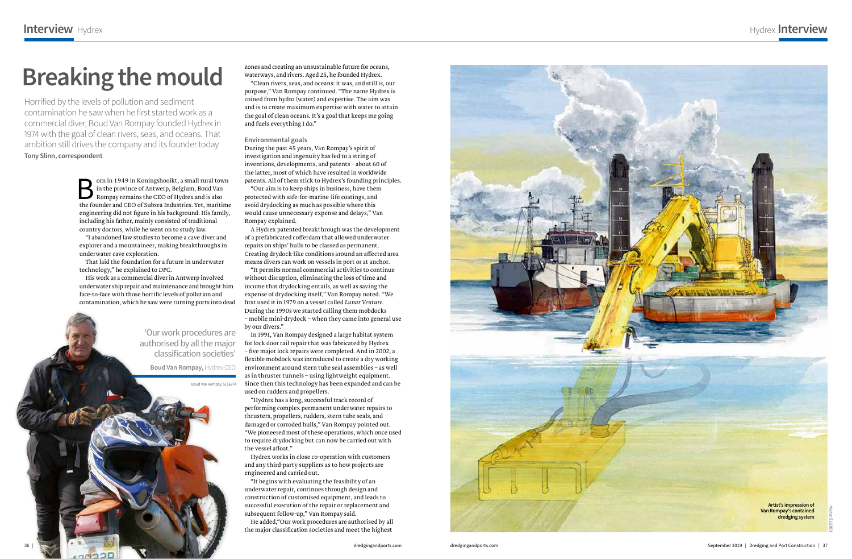# **Breaking the mould**

Horrified by the levels of pollution and sediment contamination he saw when he first started work as a commercial diver, Boud Van Rompay founded Hydrex in 1974 with the goal of clean rivers, seas, and oceans. That ambition still drives the company and its founder today **Tony Slinn, correspondent**

> **Born** in 1949 in Koningshooikt, a small rural town in the province of Antwerp, Belgium, Boud Van Rompay remains the CEO of Hydrex and is also the founder and CEO of Subsea Industries. Yet, maritime engineering did not figure in his background. His family, including his father, mainly consisted of traditional country doctors, while he went on to study law.



## Hydrex  **Interview**

"I abandoned law studies to become a cave diver and explorer and a mountaineer, making breakthroughs in underwater cave exploration.

That laid the foundation for a future in underwater technology," he explained to *DPC* .

His work as a commercial diver in Antwerp involved underwater ship repair and maintenance and brought him face-to-face with those horrific levels of pollution and contamination, which he saw were turning ports into dead zones and creating an unsustainable future for oceans, waterways, and rivers. Aged 25, he founded Hydrex.

"Clean rivers, seas, and oceans: it was, and still is, our purpose," Van Rompay continued. "The name Hydrex is coined from hydro (water) and expertise. The aim was and is to create maximum expertise with water to attain the goal of clean oceans. It's a goal that keeps me going and fuels everything I do."

### **Environmental goals**

During the past 45 years, Van Rompay's spirit of investigation and ingenuity has led to a string of inventions, developments, and patents – about 60 of the latter, most of which have resulted in worldwide patents. All of them stick to Hydrex's founding principles.

"Our aim is to keep ships in business, have them protected with safe-for-marine-life coatings, and avoid drydocking as much as possible where this would cause unnecessary expense and delays," Van Rompay explained.

A Hydrex patented breakthrough was the development of a prefabricated cofferdam that allowed underwater repairs on ships' hulls to be classed as permanent. Creating drydock-like conditions around an affected area means divers can work on vessels in port or at anchor.

"It permits normal commercial activities to continue without disruption, eliminating the loss of time and income that drydocking entails, as well as saving the expense of drydocking itself," Van Rompay noted. "We first used it in 1979 on a vessel called *Lunar Venture.*  During the 1990s we started calling them mobdocks – mobile mini-drydock – when they came into general use by our divers."

In 1991, Van Rompay designed a large habitat system for lock door rail repair that was fabricated by Hydrex – five major lock repairs were completed. And in 2002, a flexible mobdock was introduced to create a dry working environment around stern tube seal assemblies – as well as in thruster tunnels – using lightweight equipment. Since then this technology has been expanded and can be used on rudders and propellers.

"Hydrex has a long, successful track record of performing complex permanent underwater repairs to thrusters, propellers, rudders, stern tube seals, and damaged or corroded hulls," Van Rompay pointed out. "We pioneered most of these operations, which once used to require drydocking but can now be carried out with the vessel afloat."

Hydrex works in close co-operation with customers and any third-party suppliers as to how projects are engineered and carried out.

"It begins with evaluating the feasibility of an underwater repair, continues through design and construction of customised equipment, and leads to successful execution of the repair or replacement and subsequent follow-up," Van Rompay said.

He added,"Our work procedures are authorised by all the major classification societies and meet the highest



Boud Van Rompay: 5116874

'Our work procedures are authorised by all the major classification societies'

**Boud Van Rompay,** Hydrex CEO